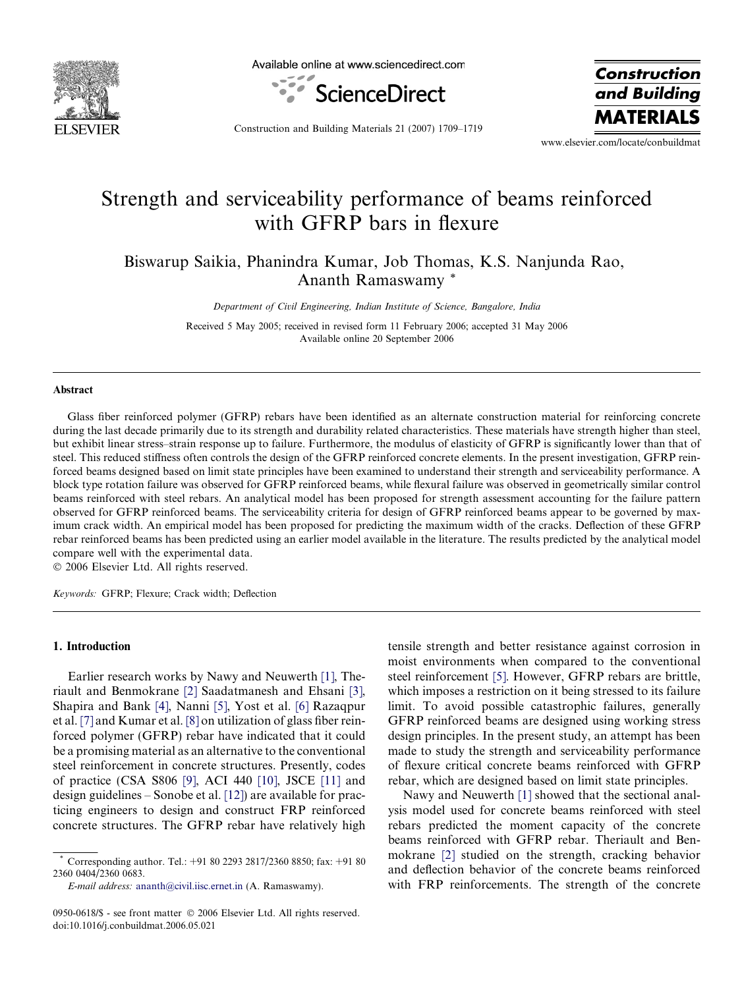

Available online at www.sciencedirect.com



**Construction** and Building **MATERIA** 

Construction and Building Materials 21 (2007) 1709–1719

www.elsevier.com/locate/conbuildmat

# Strength and serviceability performance of beams reinforced with GFRP bars in flexure

Biswarup Saikia, Phanindra Kumar, Job Thomas, K.S. Nanjunda Rao, Ananth Ramaswamy \*

Department of Civil Engineering, Indian Institute of Science, Bangalore, India

Received 5 May 2005; received in revised form 11 February 2006; accepted 31 May 2006 Available online 20 September 2006

#### Abstract

Glass fiber reinforced polymer (GFRP) rebars have been identified as an alternate construction material for reinforcing concrete during the last decade primarily due to its strength and durability related characteristics. These materials have strength higher than steel, but exhibit linear stress–strain response up to failure. Furthermore, the modulus of elasticity of GFRP is significantly lower than that of steel. This reduced stiffness often controls the design of the GFRP reinforced concrete elements. In the present investigation, GFRP reinforced beams designed based on limit state principles have been examined to understand their strength and serviceability performance. A block type rotation failure was observed for GFRP reinforced beams, while flexural failure was observed in geometrically similar control beams reinforced with steel rebars. An analytical model has been proposed for strength assessment accounting for the failure pattern observed for GFRP reinforced beams. The serviceability criteria for design of GFRP reinforced beams appear to be governed by maximum crack width. An empirical model has been proposed for predicting the maximum width of the cracks. Deflection of these GFRP rebar reinforced beams has been predicted using an earlier model available in the literature. The results predicted by the analytical model compare well with the experimental data.

© 2006 Elsevier Ltd. All rights reserved.

Keywords: GFRP; Flexure; Crack width; Deflection

#### 1. Introduction

Earlier research works by Nawy and Neuwerth [\[1\]](#page-9-0), Theriault and Benmokrane [\[2\]](#page-9-0) Saadatmanesh and Ehsani [\[3\],](#page-9-0) Shapira and Bank [\[4\]](#page-9-0), Nanni [\[5\]](#page-9-0), Yost et al. [\[6\]](#page-9-0) Razaqpur et al. [\[7\]](#page-9-0) and Kumar et al. [\[8\]](#page-9-0) on utilization of glass fiber reinforced polymer (GFRP) rebar have indicated that it could be a promising material as an alternative to the conventional steel reinforcement in concrete structures. Presently, codes of practice (CSA S806 [\[9\]](#page-10-0), ACI 440 [\[10\]](#page-10-0), JSCE [\[11\]](#page-10-0) and design guidelines – Sonobe et al. [\[12\]](#page-10-0)) are available for practicing engineers to design and construct FRP reinforced concrete structures. The GFRP rebar have relatively high tensile strength and better resistance against corrosion in moist environments when compared to the conventional steel reinforcement [\[5\]](#page-9-0). However, GFRP rebars are brittle, which imposes a restriction on it being stressed to its failure limit. To avoid possible catastrophic failures, generally GFRP reinforced beams are designed using working stress design principles. In the present study, an attempt has been made to study the strength and serviceability performance of flexure critical concrete beams reinforced with GFRP rebar, which are designed based on limit state principles.

Nawy and Neuwerth [\[1\]](#page-9-0) showed that the sectional analysis model used for concrete beams reinforced with steel rebars predicted the moment capacity of the concrete beams reinforced with GFRP rebar. Theriault and Benmokrane [\[2\]](#page-9-0) studied on the strength, cracking behavior and deflection behavior of the concrete beams reinforced with FRP reinforcements. The strength of the concrete

Corresponding author. Tel.: +91 80 2293 2817/2360 8850; fax: +91 80 2360 0404/2360 0683.

E-mail address: [ananth@civil.iisc.ernet.in](mailto:ananth@civil.iisc.ernet.in) (A. Ramaswamy).

<sup>0950-0618/\$ -</sup> see front matter © 2006 Elsevier Ltd. All rights reserved. doi:10.1016/j.conbuildmat.2006.05.021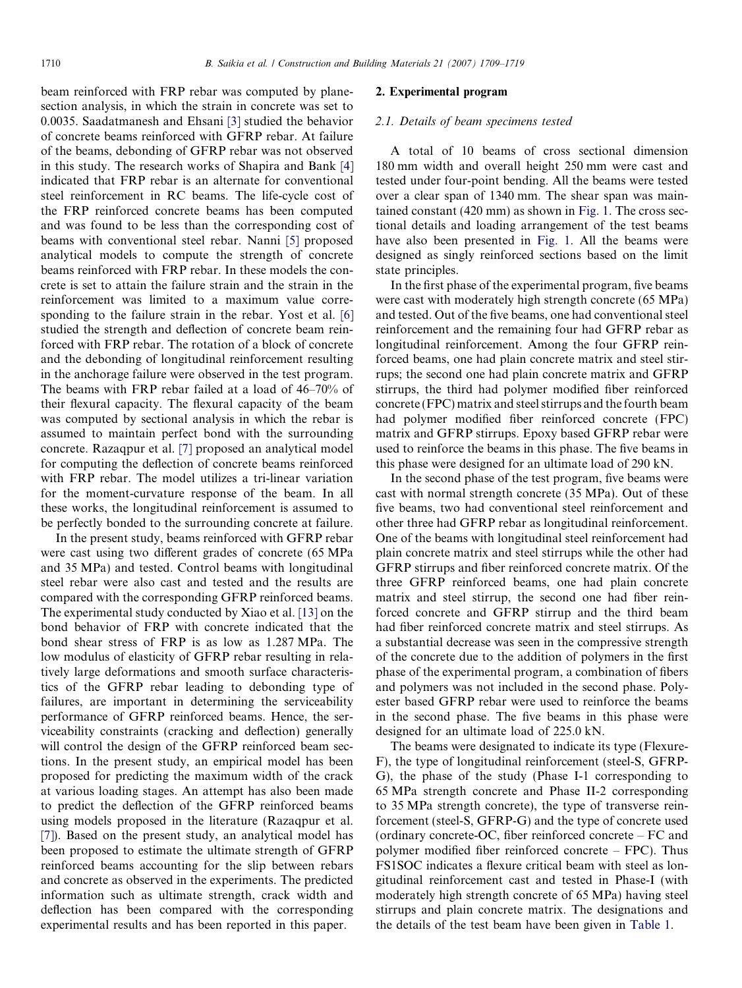beam reinforced with FRP rebar was computed by planesection analysis, in which the strain in concrete was set to 0.0035. Saadatmanesh and Ehsani [\[3\]](#page-9-0) studied the behavior of concrete beams reinforced with GFRP rebar. At failure of the beams, debonding of GFRP rebar was not observed in this study. The research works of Shapira and Bank [\[4\]](#page-9-0) indicated that FRP rebar is an alternate for conventional steel reinforcement in RC beams. The life-cycle cost of the FRP reinforced concrete beams has been computed and was found to be less than the corresponding cost of beams with conventional steel rebar. Nanni [\[5\]](#page-9-0) proposed analytical models to compute the strength of concrete beams reinforced with FRP rebar. In these models the concrete is set to attain the failure strain and the strain in the reinforcement was limited to a maximum value corresponding to the failure strain in the rebar. Yost et al. [\[6\]](#page-9-0) studied the strength and deflection of concrete beam reinforced with FRP rebar. The rotation of a block of concrete and the debonding of longitudinal reinforcement resulting in the anchorage failure were observed in the test program. The beams with FRP rebar failed at a load of 46–70% of their flexural capacity. The flexural capacity of the beam was computed by sectional analysis in which the rebar is assumed to maintain perfect bond with the surrounding concrete. Razaqpur et al. [\[7\]](#page-9-0) proposed an analytical model for computing the deflection of concrete beams reinforced with FRP rebar. The model utilizes a tri-linear variation for the moment-curvature response of the beam. In all these works, the longitudinal reinforcement is assumed to be perfectly bonded to the surrounding concrete at failure.

In the present study, beams reinforced with GFRP rebar were cast using two different grades of concrete (65 MPa and 35 MPa) and tested. Control beams with longitudinal steel rebar were also cast and tested and the results are compared with the corresponding GFRP reinforced beams. The experimental study conducted by Xiao et al. [\[13\]](#page-10-0) on the bond behavior of FRP with concrete indicated that the bond shear stress of FRP is as low as 1.287 MPa. The low modulus of elasticity of GFRP rebar resulting in relatively large deformations and smooth surface characteristics of the GFRP rebar leading to debonding type of failures, are important in determining the serviceability performance of GFRP reinforced beams. Hence, the serviceability constraints (cracking and deflection) generally will control the design of the GFRP reinforced beam sections. In the present study, an empirical model has been proposed for predicting the maximum width of the crack at various loading stages. An attempt has also been made to predict the deflection of the GFRP reinforced beams using models proposed in the literature (Razaqpur et al. [\[7\]](#page-9-0)). Based on the present study, an analytical model has been proposed to estimate the ultimate strength of GFRP reinforced beams accounting for the slip between rebars and concrete as observed in the experiments. The predicted information such as ultimate strength, crack width and deflection has been compared with the corresponding experimental results and has been reported in this paper.

# 2. Experimental program

# 2.1. Details of beam specimens tested

A total of 10 beams of cross sectional dimension 180 mm width and overall height 250 mm were cast and tested under four-point bending. All the beams were tested over a clear span of 1340 mm. The shear span was maintained constant (420 mm) as shown in [Fig. 1.](#page-2-0) The cross sectional details and loading arrangement of the test beams have also been presented in [Fig. 1.](#page-2-0) All the beams were designed as singly reinforced sections based on the limit state principles.

In the first phase of the experimental program, five beams were cast with moderately high strength concrete (65 MPa) and tested. Out of the five beams, one had conventional steel reinforcement and the remaining four had GFRP rebar as longitudinal reinforcement. Among the four GFRP reinforced beams, one had plain concrete matrix and steel stirrups; the second one had plain concrete matrix and GFRP stirrups, the third had polymer modified fiber reinforced concrete (FPC) matrix and steel stirrups and the fourth beam had polymer modified fiber reinforced concrete (FPC) matrix and GFRP stirrups. Epoxy based GFRP rebar were used to reinforce the beams in this phase. The five beams in this phase were designed for an ultimate load of 290 kN.

In the second phase of the test program, five beams were cast with normal strength concrete (35 MPa). Out of these five beams, two had conventional steel reinforcement and other three had GFRP rebar as longitudinal reinforcement. One of the beams with longitudinal steel reinforcement had plain concrete matrix and steel stirrups while the other had GFRP stirrups and fiber reinforced concrete matrix. Of the three GFRP reinforced beams, one had plain concrete matrix and steel stirrup, the second one had fiber reinforced concrete and GFRP stirrup and the third beam had fiber reinforced concrete matrix and steel stirrups. As a substantial decrease was seen in the compressive strength of the concrete due to the addition of polymers in the first phase of the experimental program, a combination of fibers and polymers was not included in the second phase. Polyester based GFRP rebar were used to reinforce the beams in the second phase. The five beams in this phase were designed for an ultimate load of 225.0 kN.

The beams were designated to indicate its type (Flexure-F), the type of longitudinal reinforcement (steel-S, GFRP-G), the phase of the study (Phase I-1 corresponding to 65 MPa strength concrete and Phase II-2 corresponding to 35 MPa strength concrete), the type of transverse reinforcement (steel-S, GFRP-G) and the type of concrete used (ordinary concrete-OC, fiber reinforced concrete – FC and polymer modified fiber reinforced concrete – FPC). Thus FS1SOC indicates a flexure critical beam with steel as longitudinal reinforcement cast and tested in Phase-I (with moderately high strength concrete of 65 MPa) having steel stirrups and plain concrete matrix. The designations and the details of the test beam have been given in [Table 1](#page-3-0).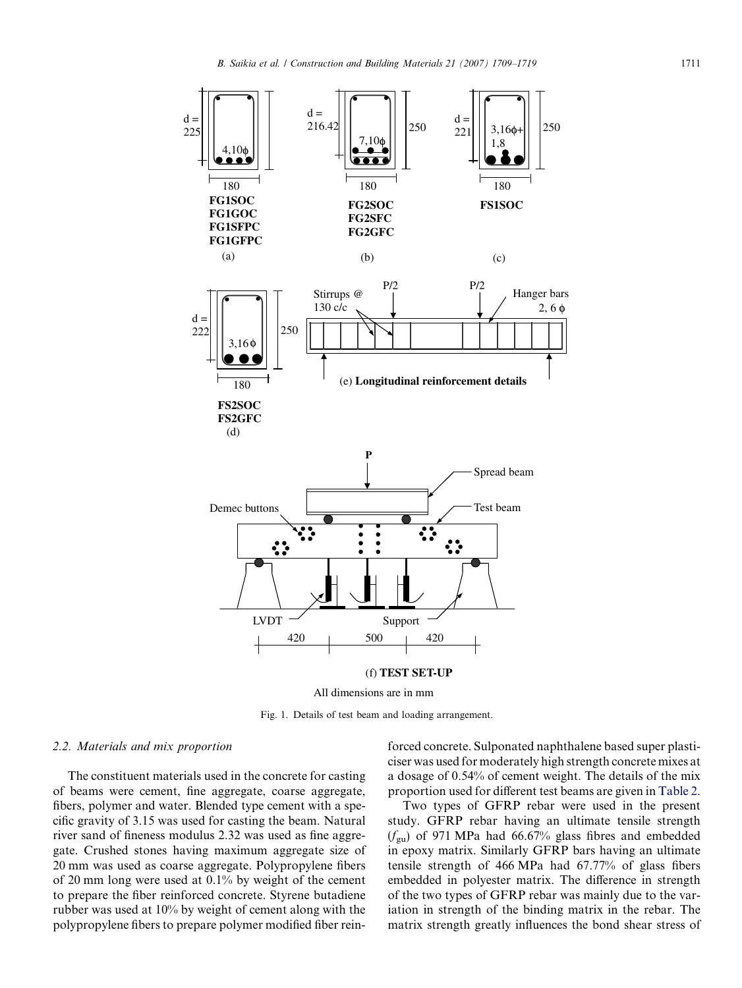<span id="page-2-0"></span>

All dimensions are in mm

Fig. 1. Details of test beam and loading arrangement.

# 2.2. Materials and mix proportion

The constituent materials used in the concrete for casting of beams were cement, fine aggregate, coarse aggregate, fibers, polymer and water. Blended type cement with a specific gravity of 3.15 was used for casting the beam. Natural river sand of fineness modulus 2.32 was used as fine aggregate. Crushed stones having maximum aggregate size of 20 mm was used as coarse aggregate. Polypropylene fibers of 20 mm long were used at 0.1% by weight of the cement to prepare the fiber reinforced concrete. Styrene butadiene rubber was used at 10% by weight of cement along with the polypropylene fibers to prepare polymer modified fiber reinforced concrete. Sulponated naphthalene based super plasticiser was used for moderately high strength concrete mixes at a dosage of 0.54% of cement weight. The details of the mix proportion used for different test beams are given in [Table 2.](#page-3-0)

Two types of GFRP rebar were used in the present study. GFRP rebar having an ultimate tensile strength  $(f_{\text{gu}})$  of 971 MPa had 66.67% glass fibres and embedded in epoxy matrix. Similarly GFRP bars having an ultimate tensile strength of 466 MPa had 67.77% of glass fibers embedded in polyester matrix. The difference in strength of the two types of GFRP rebar was mainly due to the variation in strength of the binding matrix in the rebar. The matrix strength greatly influences the bond shear stress of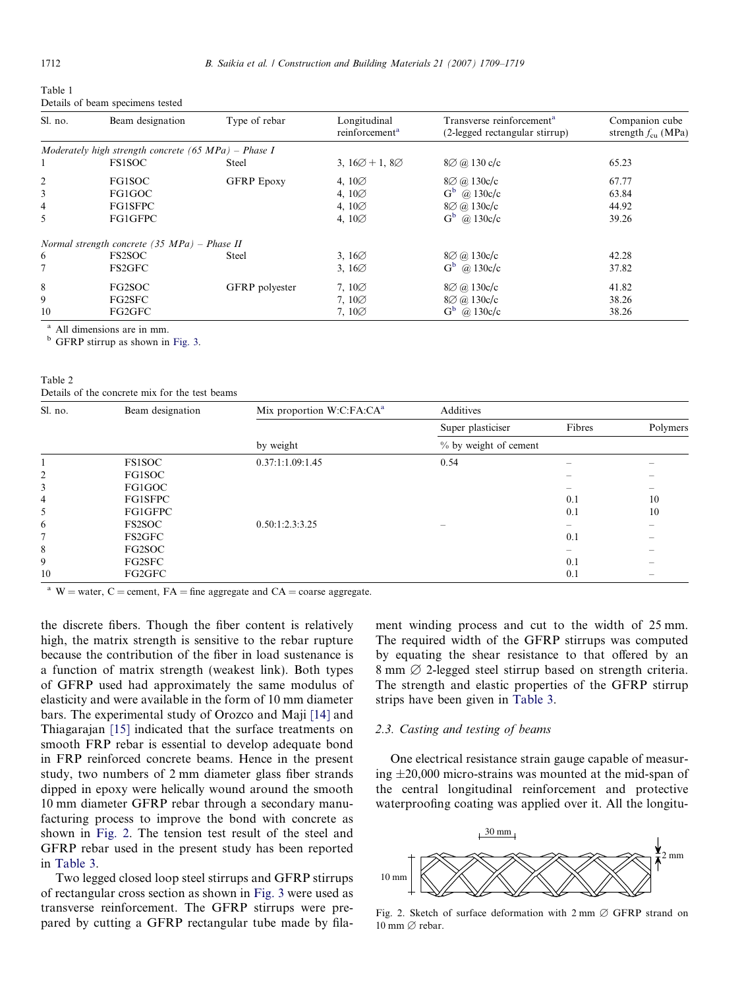<span id="page-3-0"></span>

| rabie i |                                  |  |
|---------|----------------------------------|--|
|         | Details of beam specimens tested |  |

| Sl. no.        | Beam designation                                       | Type of rebar     | Longitudinal<br>reinforcement <sup>a</sup> | Transverse reinforcement <sup>a</sup><br>(2-legged rectangular stirrup) | Companion cube<br>strength $f_{\rm cu}$ (MPa) |
|----------------|--------------------------------------------------------|-------------------|--------------------------------------------|-------------------------------------------------------------------------|-----------------------------------------------|
|                | Moderately high strength concrete $(65 MPa)$ - Phase I |                   |                                            |                                                                         |                                               |
|                | <b>FS1SOC</b>                                          | Steel             | 3, $16\varnothing + 1$ , $8\varnothing$    | $8\varnothing$ @ 130 c/c                                                | 65.23                                         |
| $\overline{2}$ | FG1SOC                                                 | <b>GFRP</b> Epoxy | 4, $10\%$                                  | $8\oslash$ (a) 130c/c                                                   | 67.77                                         |
| 3              | FG1GOC                                                 |                   | 4, $10\%$                                  | $G^b$ @ 130c/c                                                          | 63.84                                         |
| 4              | <b>FG1SFPC</b>                                         |                   | 4, $10\%$                                  | $8\varnothing$ (a) 130c/c                                               | 44.92                                         |
| 5              | FG1GFPC                                                |                   | 4, $10\%$                                  | $G^b$ @ 130c/c                                                          | 39.26                                         |
|                | Normal strength concrete $(35 \text{ MPa})$ – Phase II |                   |                                            |                                                                         |                                               |
| 6              | FS <sub>2</sub> SOC                                    | <b>Steel</b>      | 3, $16\%$                                  | $8\varnothing$ (a) 130c/c                                               | 42.28                                         |
|                | FS2GFC                                                 |                   | $3,16\varnothing$                          | $G^b$ @ 130 $c/c$                                                       | 37.82                                         |
| 8              | FG2SOC                                                 | GFRP polyester    | $7,10\varnothing$                          | $8\varnothing$ (a) 130c/c                                               | 41.82                                         |
| 9              | FG2SFC                                                 |                   | $7,10\varnothing$                          | $8\varnothing$ (a) 130c/c                                               | 38.26                                         |
| 10             | FG2GFC                                                 |                   | $7,10\varnothing$                          | $G^b$ @ 130 $c/c$                                                       | 38.26                                         |

<sup>a</sup> All dimensions are in mm.

<sup>b</sup> GFRP stirrup as shown in [Fig. 3](#page-4-0).

Table 2 Details of the concrete mix for the test beams

| Sl. no. | Beam designation | Mix proportion W:C:FA:CA <sup>a</sup> | Additives             |        |          |  |
|---------|------------------|---------------------------------------|-----------------------|--------|----------|--|
|         |                  |                                       | Super plasticiser     | Fibres | Polymers |  |
|         |                  | by weight                             | % by weight of cement |        |          |  |
|         | <b>FS1SOC</b>    | 0.37:1:1.09:1.45                      | 0.54                  |        |          |  |
| 2       | FG1SOC           |                                       |                       |        |          |  |
| 3       | FG1GOC           |                                       |                       |        |          |  |
| 4       | FG1SFPC          |                                       |                       | 0.1    | 10       |  |
| 5       | FG1GFPC          |                                       |                       | 0.1    | 10       |  |
| 6       | <b>FS2SOC</b>    | 0.50:1:2.3:3.25                       |                       |        |          |  |
|         | FS2GFC           |                                       |                       | 0.1    |          |  |
| 8       | FG2SOC           |                                       |                       |        |          |  |
| 9       | FG2SFC           |                                       |                       | 0.1    |          |  |
| 10      | FG2GFC           |                                       |                       | 0.1    |          |  |

<sup>a</sup> W = water, C = cement, FA = fine aggregate and CA = coarse aggregate.

the discrete fibers. Though the fiber content is relatively high, the matrix strength is sensitive to the rebar rupture because the contribution of the fiber in load sustenance is a function of matrix strength (weakest link). Both types of GFRP used had approximately the same modulus of elasticity and were available in the form of 10 mm diameter bars. The experimental study of Orozco and Maji [\[14\]](#page-10-0) and Thiagarajan [\[15\]](#page-10-0) indicated that the surface treatments on smooth FRP rebar is essential to develop adequate bond in FRP reinforced concrete beams. Hence in the present study, two numbers of 2 mm diameter glass fiber strands dipped in epoxy were helically wound around the smooth 10 mm diameter GFRP rebar through a secondary manufacturing process to improve the bond with concrete as shown in Fig. 2. The tension test result of the steel and GFRP rebar used in the present study has been reported in [Table 3.](#page-4-0)

Two legged closed loop steel stirrups and GFRP stirrups of rectangular cross section as shown in [Fig. 3](#page-4-0) were used as transverse reinforcement. The GFRP stirrups were prepared by cutting a GFRP rectangular tube made by filament winding process and cut to the width of 25 mm. The required width of the GFRP stirrups was computed by equating the shear resistance to that offered by an 8 mm  $\varnothing$  2-legged steel stirrup based on strength criteria. The strength and elastic properties of the GFRP stirrup strips have been given in [Table 3](#page-4-0).

# 2.3. Casting and testing of beams

One electrical resistance strain gauge capable of measuring  $\pm 20,000$  micro-strains was mounted at the mid-span of the central longitudinal reinforcement and protective waterproofing coating was applied over it. All the longitu-



Fig. 2. Sketch of surface deformation with  $2 \text{ mm } \varnothing$  GFRP strand on 10 mm  $\varnothing$  rebar.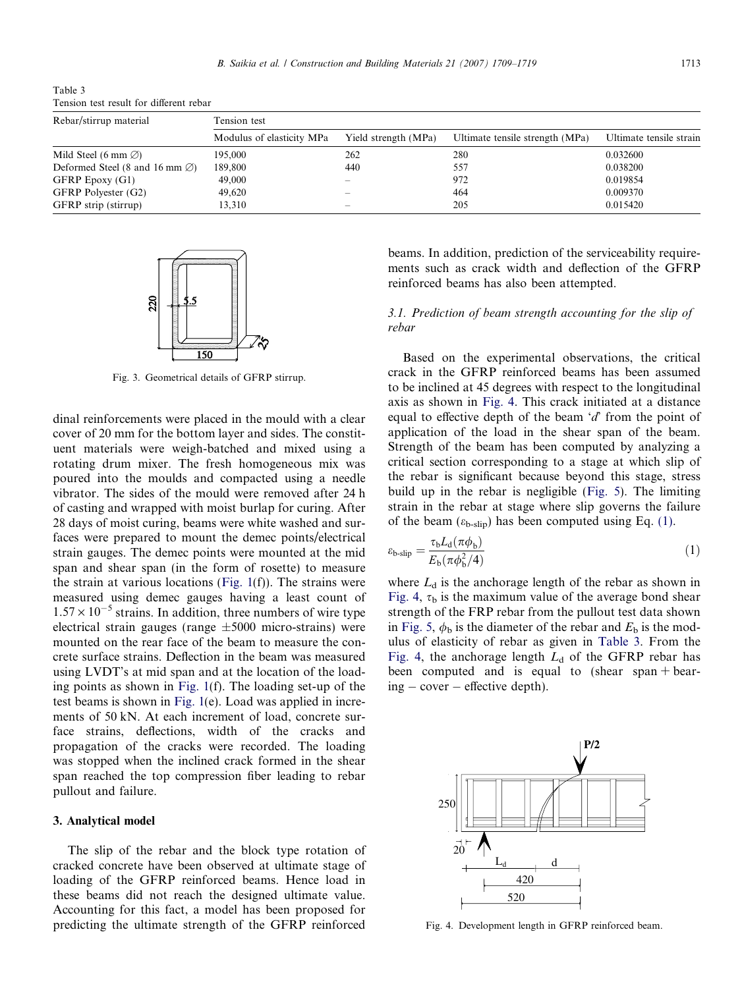B. Saikia et al. / Construction and Building Materials 21 (2007) 1709–1719 1713

<span id="page-4-0"></span>Table 3 Tension test result for different rebar

| Rebar/stirrup material                    | Tension test              |                      |                                 |                         |  |  |
|-------------------------------------------|---------------------------|----------------------|---------------------------------|-------------------------|--|--|
|                                           | Modulus of elasticity MPa | Yield strength (MPa) | Ultimate tensile strength (MPa) | Ultimate tensile strain |  |  |
| Mild Steel (6 mm $\varnothing$ )          | 195,000                   | 262                  | 280                             | 0.032600                |  |  |
| Deformed Steel (8 and 16 mm $\emptyset$ ) | 189.800                   | 440                  | 557                             | 0.038200                |  |  |
| GFRP Epoxy (G1)                           | 49,000                    |                      | 972                             | 0.019854                |  |  |
| GFRP Polyester (G2)                       | 49.620                    |                      | 464                             | 0.009370                |  |  |
| GFRP strip (stirrup)                      | 13,310                    |                      | 205                             | 0.015420                |  |  |



Fig. 3. Geometrical details of GFRP stirrup.

dinal reinforcements were placed in the mould with a clear cover of 20 mm for the bottom layer and sides. The constituent materials were weigh-batched and mixed using a rotating drum mixer. The fresh homogeneous mix was poured into the moulds and compacted using a needle vibrator. The sides of the mould were removed after 24 h of casting and wrapped with moist burlap for curing. After 28 days of moist curing, beams were white washed and surfaces were prepared to mount the demec points/electrical strain gauges. The demec points were mounted at the mid span and shear span (in the form of rosette) to measure the strain at various locations ([Fig. 1](#page-2-0)(f)). The strains were measured using demec gauges having a least count of  $1.57 \times 10^{-5}$  strains. In addition, three numbers of wire type electrical strain gauges (range  $\pm 5000$  micro-strains) were mounted on the rear face of the beam to measure the concrete surface strains. Deflection in the beam was measured using LVDT's at mid span and at the location of the loading points as shown in [Fig. 1](#page-2-0)(f). The loading set-up of the test beams is shown in [Fig. 1](#page-2-0)(e). Load was applied in increments of 50 kN. At each increment of load, concrete surface strains, deflections, width of the cracks and propagation of the cracks were recorded. The loading was stopped when the inclined crack formed in the shear span reached the top compression fiber leading to rebar pullout and failure.

#### 3. Analytical model

The slip of the rebar and the block type rotation of cracked concrete have been observed at ultimate stage of loading of the GFRP reinforced beams. Hence load in these beams did not reach the designed ultimate value. Accounting for this fact, a model has been proposed for predicting the ultimate strength of the GFRP reinforced

beams. In addition, prediction of the serviceability requirements such as crack width and deflection of the GFRP reinforced beams has also been attempted.

# 3.1. Prediction of beam strength accounting for the slip of rebar

Based on the experimental observations, the critical crack in the GFRP reinforced beams has been assumed to be inclined at 45 degrees with respect to the longitudinal axis as shown in Fig. 4. This crack initiated at a distance equal to effective depth of the beam  $d$  from the point of application of the load in the shear span of the beam. Strength of the beam has been computed by analyzing a critical section corresponding to a stage at which slip of the rebar is significant because beyond this stage, stress build up in the rebar is negligible [\(Fig. 5\)](#page-5-0). The limiting strain in the rebar at stage where slip governs the failure of the beam ( $\varepsilon_{b\text{-slip}}$ ) has been computed using Eq. (1).

$$
\varepsilon_{\text{b-slip}} = \frac{\tau_{\text{b}} L_{\text{d}} (\pi \phi_{\text{b}})}{E_{\text{b}} (\pi \phi_{\text{b}}^2 / 4)} \tag{1}
$$

where  $L_d$  is the anchorage length of the rebar as shown in Fig. 4,  $\tau_{\rm h}$  is the maximum value of the average bond shear strength of the FRP rebar from the pullout test data shown in [Fig. 5,](#page-5-0)  $\phi_b$  is the diameter of the rebar and  $E_b$  is the modulus of elasticity of rebar as given in Table 3. From the Fig. 4, the anchorage length  $L_d$  of the GFRP rebar has been computed and is equal to (shear span + bearing - cover - effective depth).



Fig. 4. Development length in GFRP reinforced beam.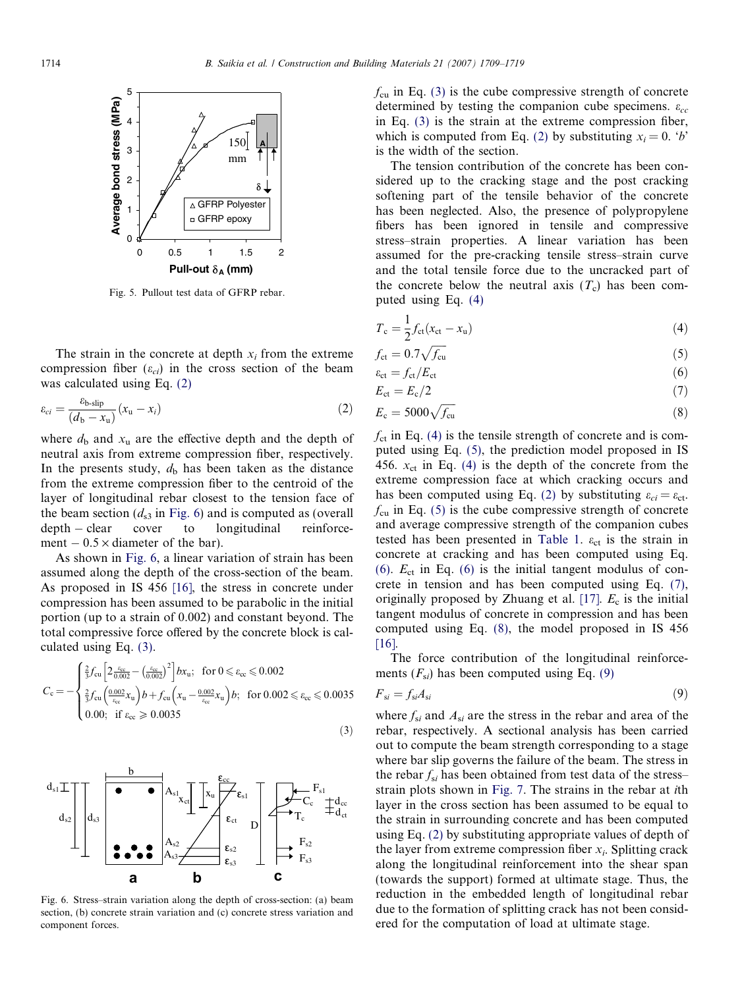<span id="page-5-0"></span>

Fig. 5. Pullout test data of GFRP rebar.

The strain in the concrete at depth  $x_i$  from the extreme compression fiber  $(\varepsilon_{ci})$  in the cross section of the beam was calculated using Eq. (2)

$$
\varepsilon_{ci} = \frac{\varepsilon_{\text{b-slip}}}{(d_{\text{b}} - x_{\text{u}})} (x_{\text{u}} - x_{i})
$$
\n(2)

where  $d_b$  and  $x_u$  are the effective depth and the depth of neutral axis from extreme compression fiber, respectively. In the presents study,  $d<sub>b</sub>$  has been taken as the distance from the extreme compression fiber to the centroid of the layer of longitudinal rebar closest to the tension face of the beam section  $(d_{s3}$  in Fig. 6) and is computed as (overall  $depth - clear$ cover to longitudinal reinforcement  $-0.5 \times$  diameter of the bar).

As shown in Fig. 6, a linear variation of strain has been assumed along the depth of the cross-section of the beam. As proposed in IS 456 [\[16\],](#page-10-0) the stress in concrete under compression has been assumed to be parabolic in the initial portion (up to a strain of 0.002) and constant beyond. The total compressive force offered by the concrete block is calculated using Eq. (3).

$$
C_{\rm c} = -\begin{cases} \frac{2}{3} f_{\rm cu} \left[ 2 \frac{\varepsilon_{\rm cc}}{0.002} - \left( \frac{\varepsilon_{\rm cc}}{0.002} \right)^2 \right] b x_{\rm u}; & \text{for } 0 \leq \varepsilon_{\rm cc} \leq 0.002\\ \frac{2}{3} f_{\rm cu} \left( \frac{0.002}{\varepsilon_{\rm cc}} x_{\rm u} \right) b + f_{\rm cu} \left( x_{\rm u} - \frac{0.002}{\varepsilon_{\rm cc}} x_{\rm u} \right) b; & \text{for } 0.002 \leq \varepsilon_{\rm cc} \leq 0.0035\\ 0.00; & \text{if } \varepsilon_{\rm cc} \geq 0.0035 \end{cases} \tag{3}
$$



Fig. 6. Stress–strain variation along the depth of cross-section: (a) beam section, (b) concrete strain variation and (c) concrete stress variation and component forces.

 $f_{\rm cu}$  in Eq. (3) is the cube compressive strength of concrete determined by testing the companion cube specimens.  $\varepsilon_{cc}$ in Eq. (3) is the strain at the extreme compression fiber, which is computed from Eq. (2) by substituting  $x_i = 0$ . 'b' is the width of the section.

The tension contribution of the concrete has been considered up to the cracking stage and the post cracking softening part of the tensile behavior of the concrete has been neglected. Also, the presence of polypropylene fibers has been ignored in tensile and compressive stress–strain properties. A linear variation has been assumed for the pre-cracking tensile stress–strain curve and the total tensile force due to the uncracked part of the concrete below the neutral axis  $(T_c)$  has been computed using Eq. (4)

$$
T_{\rm c} = \frac{1}{2} f_{\rm ct} (x_{\rm ct} - x_{\rm u}) \tag{4}
$$

$$
f_{\rm ct} = 0.7\sqrt{f_{\rm cu}}\tag{5}
$$

$$
\varepsilon_{\rm ct} = f_{\rm ct}/E_{\rm ct} \tag{6}
$$

$$
E_{\rm ct} = E_{\rm c}/2 \tag{7}
$$

$$
E_{\rm c} = 5000\sqrt{f_{\rm cu}}\tag{8}
$$

 $f_{\rm ct}$  in Eq. (4) is the tensile strength of concrete and is computed using Eq. (5), the prediction model proposed in IS 456.  $x_{ct}$  in Eq. (4) is the depth of the concrete from the extreme compression face at which cracking occurs and has been computed using Eq. (2) by substituting  $\varepsilon_{ci} = \varepsilon_{ct}$ .  $f_{\rm cu}$  in Eq. (5) is the cube compressive strength of concrete and average compressive strength of the companion cubes tested has been presented in [Table 1.](#page-3-0)  $\varepsilon_{ct}$  is the strain in concrete at cracking and has been computed using Eq. (6).  $E_{\text{ct}}$  in Eq. (6) is the initial tangent modulus of concrete in tension and has been computed using Eq. (7), originally proposed by Zhuang et al. [\[17\]](#page-10-0).  $E_c$  is the initial tangent modulus of concrete in compression and has been computed using Eq. (8), the model proposed in IS 456 [\[16\]](#page-10-0).

The force contribution of the longitudinal reinforcements  $(F_{si})$  has been computed using Eq. (9)

$$
F_{si} = f_{si} A_{si} \tag{9}
$$

where  $f_{si}$  and  $A_{si}$  are the stress in the rebar and area of the rebar, respectively. A sectional analysis has been carried out to compute the beam strength corresponding to a stage where bar slip governs the failure of the beam. The stress in the rebar  $f_{si}$  has been obtained from test data of the stress– strain plots shown in [Fig. 7](#page-6-0). The strains in the rebar at ith layer in the cross section has been assumed to be equal to the strain in surrounding concrete and has been computed using Eq. (2) by substituting appropriate values of depth of the layer from extreme compression fiber  $x_i$ . Splitting crack along the longitudinal reinforcement into the shear span (towards the support) formed at ultimate stage. Thus, the reduction in the embedded length of longitudinal rebar due to the formation of splitting crack has not been considered for the computation of load at ultimate stage.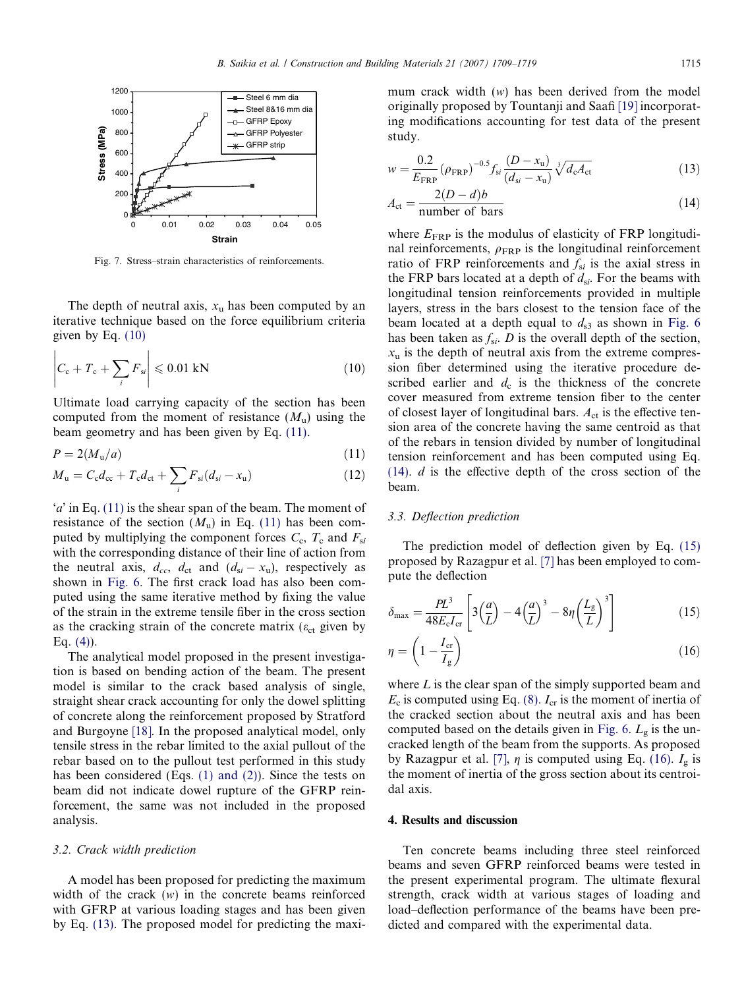<span id="page-6-0"></span>

Fig. 7. Stress–strain characteristics of reinforcements.

The depth of neutral axis,  $x<sub>u</sub>$  has been computed by an iterative technique based on the force equilibrium criteria given by Eq. (10)

$$
\left| C_{\rm c} + T_{\rm c} + \sum_{i} F_{\rm si} \right| \leqslant 0.01 \text{ kN} \tag{10}
$$

Ultimate load carrying capacity of the section has been computed from the moment of resistance  $(M<sub>u</sub>)$  using the beam geometry and has been given by Eq. (11).

$$
P = 2(M_{\rm u}/a) \tag{11}
$$

$$
M_{\mathbf{u}} = C_{\mathbf{c}} d_{\mathbf{c}\mathbf{c}} + T_{\mathbf{c}} d_{\mathbf{c}\mathbf{t}} + \sum_{i} F_{si}(d_{si} - x_{\mathbf{u}})
$$
(12)

'a' in Eq. (11) is the shear span of the beam. The moment of resistance of the section  $(M_u)$  in Eq. (11) has been computed by multiplying the component forces  $C_c$ ,  $T_c$  and  $F_{si}$ with the corresponding distance of their line of action from the neutral axis,  $d_{cc}$ ,  $d_{ct}$  and  $(d_{si} - x_u)$ , respectively as shown in [Fig. 6](#page-5-0). The first crack load has also been computed using the same iterative method by fixing the value of the strain in the extreme tensile fiber in the cross section as the cracking strain of the concrete matrix ( $\varepsilon_{ct}$  given by Eq.  $(4)$ ).

The analytical model proposed in the present investigation is based on bending action of the beam. The present model is similar to the crack based analysis of single, straight shear crack accounting for only the dowel splitting of concrete along the reinforcement proposed by Stratford and Burgoyne [\[18\]](#page-10-0). In the proposed analytical model, only tensile stress in the rebar limited to the axial pullout of the rebar based on to the pullout test performed in this study has been considered (Eqs. [\(1\) and \(2\)\)](#page-4-0). Since the tests on beam did not indicate dowel rupture of the GFRP reinforcement, the same was not included in the proposed analysis.

#### 3.2. Crack width prediction

A model has been proposed for predicting the maximum width of the crack  $(w)$  in the concrete beams reinforced with GFRP at various loading stages and has been given by Eq. (13). The proposed model for predicting the maximum crack width (w) has been derived from the model originally proposed by Tountanji and Saafi [\[19\]](#page-10-0) incorporating modifications accounting for test data of the present study.

$$
w = \frac{0.2}{E_{\text{FRP}}} (\rho_{\text{FRP}})^{-0.5} f_{\text{si}} \frac{(D - x_{\text{u}})}{(d_{\text{si}} - x_{\text{u}})} \sqrt[3]{d_{\text{c}} A_{\text{ct}}}
$$
(13)

$$
A_{\rm ct} = \frac{2(D - d)b}{\text{number of bars}}\tag{14}
$$

where  $E_{\text{FRP}}$  is the modulus of elasticity of FRP longitudinal reinforcements,  $\rho_{\text{FRP}}$  is the longitudinal reinforcement ratio of FRP reinforcements and  $f_{si}$  is the axial stress in the FRP bars located at a depth of  $d_{si}$ . For the beams with longitudinal tension reinforcements provided in multiple layers, stress in the bars closest to the tension face of the beam located at a depth equal to  $d_{s3}$  as shown in [Fig. 6](#page-5-0) has been taken as  $f_{si}$ . D is the overall depth of the section,  $x<sub>u</sub>$  is the depth of neutral axis from the extreme compression fiber determined using the iterative procedure described earlier and  $d_c$  is the thickness of the concrete cover measured from extreme tension fiber to the center of closest layer of longitudinal bars.  $A_{ct}$  is the effective tension area of the concrete having the same centroid as that of the rebars in tension divided by number of longitudinal tension reinforcement and has been computed using Eq.  $(14)$ . *d* is the effective depth of the cross section of the beam.

# 3.3. Deflection prediction

The prediction model of deflection given by Eq. (15) proposed by Razagpur et al. [\[7\]](#page-9-0) has been employed to compute the deflection

$$
\delta_{\max} = \frac{PL^3}{48E_c I_{cr}} \left[ 3\left(\frac{a}{L}\right) - 4\left(\frac{a}{L}\right)^3 - 8\eta \left(\frac{L_g}{L}\right)^3 \right] \tag{15}
$$

$$
\eta = \left(1 - \frac{I_{\rm cr}}{I_{\rm g}}\right) \tag{16}
$$

where  $L$  is the clear span of the simply supported beam and  $E_c$  is computed using Eq. (8).  $I_{cr}$  is the moment of inertia of the cracked section about the neutral axis and has been computed based on the details given in [Fig. 6](#page-5-0).  $L_{\varphi}$  is the uncracked length of the beam from the supports. As proposed by Razagpur et al. [\[7\],](#page-9-0)  $\eta$  is computed using Eq. (16).  $I_g$  is the moment of inertia of the gross section about its centroidal axis.

#### 4. Results and discussion

Ten concrete beams including three steel reinforced beams and seven GFRP reinforced beams were tested in the present experimental program. The ultimate flexural strength, crack width at various stages of loading and load–deflection performance of the beams have been predicted and compared with the experimental data.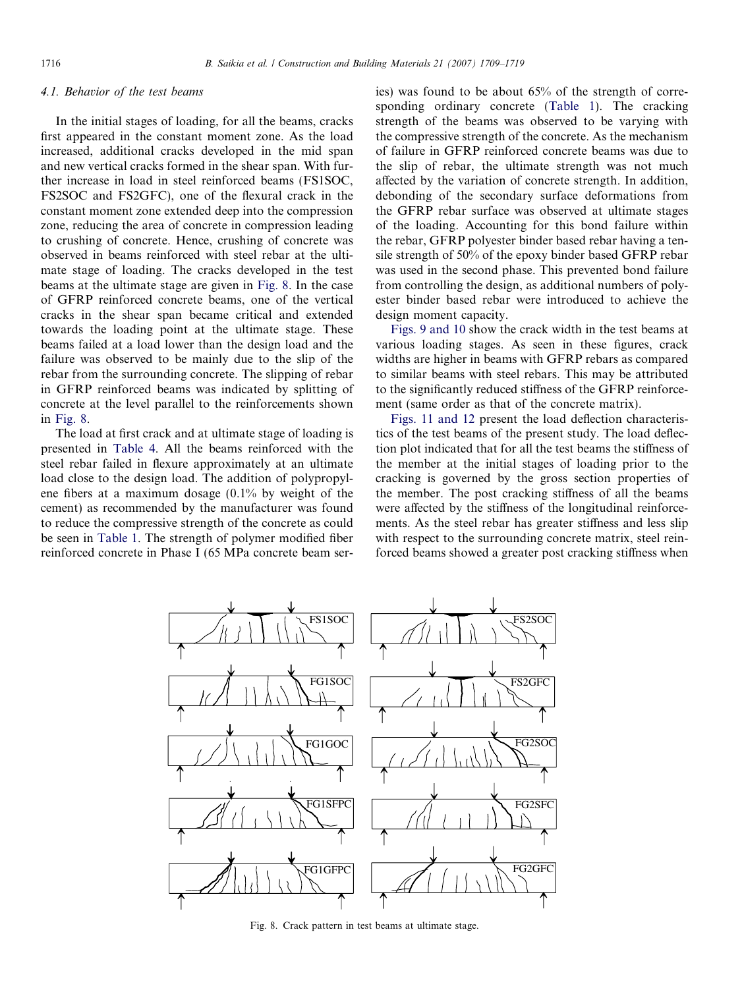# 4.1. Behavior of the test beams

In the initial stages of loading, for all the beams, cracks first appeared in the constant moment zone. As the load increased, additional cracks developed in the mid span and new vertical cracks formed in the shear span. With further increase in load in steel reinforced beams (FS1SOC, FS2SOC and FS2GFC), one of the flexural crack in the constant moment zone extended deep into the compression zone, reducing the area of concrete in compression leading to crushing of concrete. Hence, crushing of concrete was observed in beams reinforced with steel rebar at the ultimate stage of loading. The cracks developed in the test beams at the ultimate stage are given in Fig. 8. In the case of GFRP reinforced concrete beams, one of the vertical cracks in the shear span became critical and extended towards the loading point at the ultimate stage. These beams failed at a load lower than the design load and the failure was observed to be mainly due to the slip of the rebar from the surrounding concrete. The slipping of rebar in GFRP reinforced beams was indicated by splitting of concrete at the level parallel to the reinforcements shown in Fig. 8.

The load at first crack and at ultimate stage of loading is presented in [Table 4.](#page-8-0) All the beams reinforced with the steel rebar failed in flexure approximately at an ultimate load close to the design load. The addition of polypropylene fibers at a maximum dosage (0.1% by weight of the cement) as recommended by the manufacturer was found to reduce the compressive strength of the concrete as could be seen in [Table 1.](#page-3-0) The strength of polymer modified fiber reinforced concrete in Phase I (65 MPa concrete beam series) was found to be about 65% of the strength of corresponding ordinary concrete ([Table 1\)](#page-3-0). The cracking strength of the beams was observed to be varying with the compressive strength of the concrete. As the mechanism of failure in GFRP reinforced concrete beams was due to the slip of rebar, the ultimate strength was not much affected by the variation of concrete strength. In addition, debonding of the secondary surface deformations from the GFRP rebar surface was observed at ultimate stages of the loading. Accounting for this bond failure within the rebar, GFRP polyester binder based rebar having a tensile strength of 50% of the epoxy binder based GFRP rebar was used in the second phase. This prevented bond failure from controlling the design, as additional numbers of polyester binder based rebar were introduced to achieve the design moment capacity.

[Figs. 9 and 10](#page-8-0) show the crack width in the test beams at various loading stages. As seen in these figures, crack widths are higher in beams with GFRP rebars as compared to similar beams with steel rebars. This may be attributed to the significantly reduced stiffness of the GFRP reinforcement (same order as that of the concrete matrix).

[Figs. 11 and 12](#page-8-0) present the load deflection characteristics of the test beams of the present study. The load deflection plot indicated that for all the test beams the stiffness of the member at the initial stages of loading prior to the cracking is governed by the gross section properties of the member. The post cracking stiffness of all the beams were affected by the stiffness of the longitudinal reinforcements. As the steel rebar has greater stiffness and less slip with respect to the surrounding concrete matrix, steel reinforced beams showed a greater post cracking stiffness when



Fig. 8. Crack pattern in test beams at ultimate stage.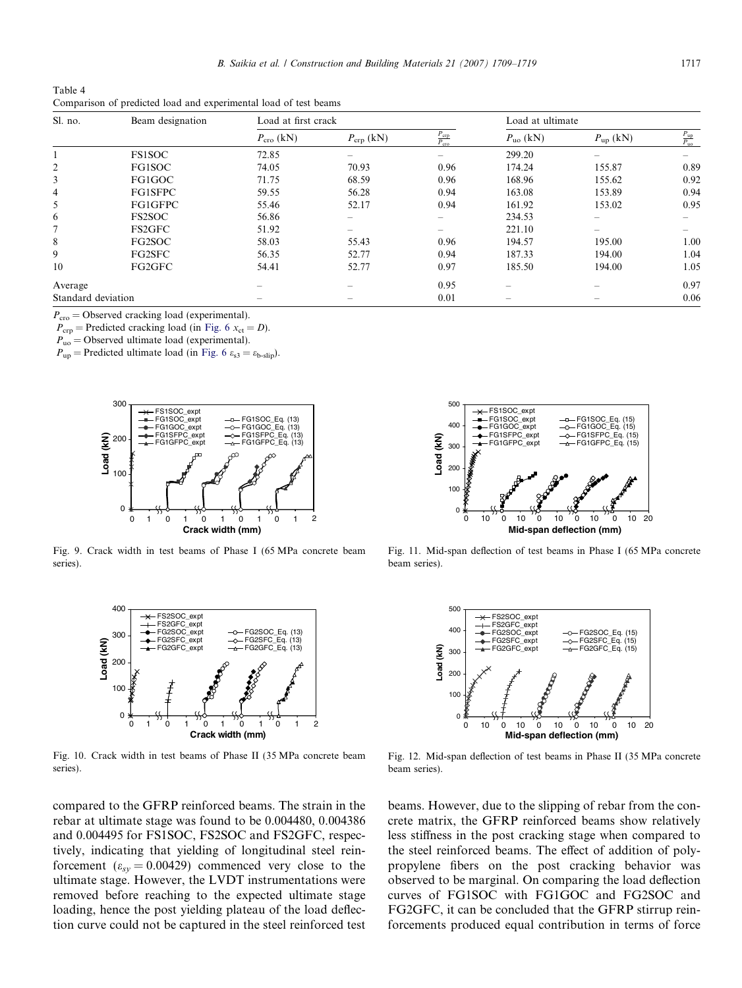<span id="page-8-0"></span>Table 4 Comparison of predicted load and experimental load of test beams

| Sl. no.            | Beam designation | Load at first crack |                          |                                   | Load at ultimate            |                   |                                  |
|--------------------|------------------|---------------------|--------------------------|-----------------------------------|-----------------------------|-------------------|----------------------------------|
|                    |                  | $P_{\rm cro}$ (kN)  | $P_{\rm crp}$ (kN)       | $\frac{P_{\rm crp}}{P_{\rm cro}}$ | $P_{\text{uo}}\text{ (kN)}$ | $P_{\rm up}$ (kN) | $\frac{P_{\rm up}}{P_{\rm{uo}}}$ |
|                    | <b>FS1SOC</b>    | 72.85               | $\overline{\phantom{a}}$ |                                   | 299.20                      |                   |                                  |
| $\overline{2}$     | FG1SOC           | 74.05               | 70.93                    | 0.96                              | 174.24                      | 155.87            | 0.89                             |
| 3                  | FG1GOC           | 71.75               | 68.59                    | 0.96                              | 168.96                      | 155.62            | 0.92                             |
| $\overline{4}$     | FG1SFPC          | 59.55               | 56.28                    | 0.94                              | 163.08                      | 153.89            | 0.94                             |
| 5                  | FG1GFPC          | 55.46               | 52.17                    | 0.94                              | 161.92                      | 153.02            | 0.95                             |
| 6                  | <b>FS2SOC</b>    | 56.86               | $\hspace{0.05cm}$        |                                   | 234.53                      |                   |                                  |
| 7                  | FS2GFC           | 51.92               |                          |                                   | 221.10                      |                   |                                  |
| 8                  | FG2SOC           | 58.03               | 55.43                    | 0.96                              | 194.57                      | 195.00            | 1.00                             |
| 9                  | FG2SFC           | 56.35               | 52.77                    | 0.94                              | 187.33                      | 194.00            | 1.04                             |
| 10                 | FG2GFC           | 54.41               | 52.77                    | 0.97                              | 185.50                      | 194.00            | 1.05                             |
| Average            |                  |                     |                          | 0.95                              |                             |                   | 0.97                             |
| Standard deviation |                  |                     |                          | 0.01                              |                             |                   | 0.06                             |

 $P_{\rm cro}$  = Observed cracking load (experimental).

 $P_{\rm crp}$  = Predicted cracking load (in [Fig. 6](#page-5-0)  $x_{\rm ct} = D$ ).

 $P_{\text{uo}}$  = Observed ultimate load (experimental).

 $P_{\text{up}}$  = Predicted ultimate load (in [Fig. 6](#page-5-0)  $\varepsilon_{s3} = \varepsilon_{\text{b-slin}}$ ).



Fig. 9. Crack width in test beams of Phase I (65 MPa concrete beam series).



Fig. 10. Crack width in test beams of Phase II (35 MPa concrete beam series).

compared to the GFRP reinforced beams. The strain in the rebar at ultimate stage was found to be 0.004480, 0.004386 and 0.004495 for FS1SOC, FS2SOC and FS2GFC, respectively, indicating that yielding of longitudinal steel reinforcement ( $\varepsilon_{sy} = 0.00429$ ) commenced very close to the ultimate stage. However, the LVDT instrumentations were removed before reaching to the expected ultimate stage loading, hence the post yielding plateau of the load deflection curve could not be captured in the steel reinforced test



Fig. 11. Mid-span deflection of test beams in Phase I (65 MPa concrete beam series).



Fig. 12. Mid-span deflection of test beams in Phase II (35 MPa concrete beam series).

beams. However, due to the slipping of rebar from the concrete matrix, the GFRP reinforced beams show relatively less stiffness in the post cracking stage when compared to the steel reinforced beams. The effect of addition of polypropylene fibers on the post cracking behavior was observed to be marginal. On comparing the load deflection curves of FG1SOC with FG1GOC and FG2SOC and FG2GFC, it can be concluded that the GFRP stirrup reinforcements produced equal contribution in terms of force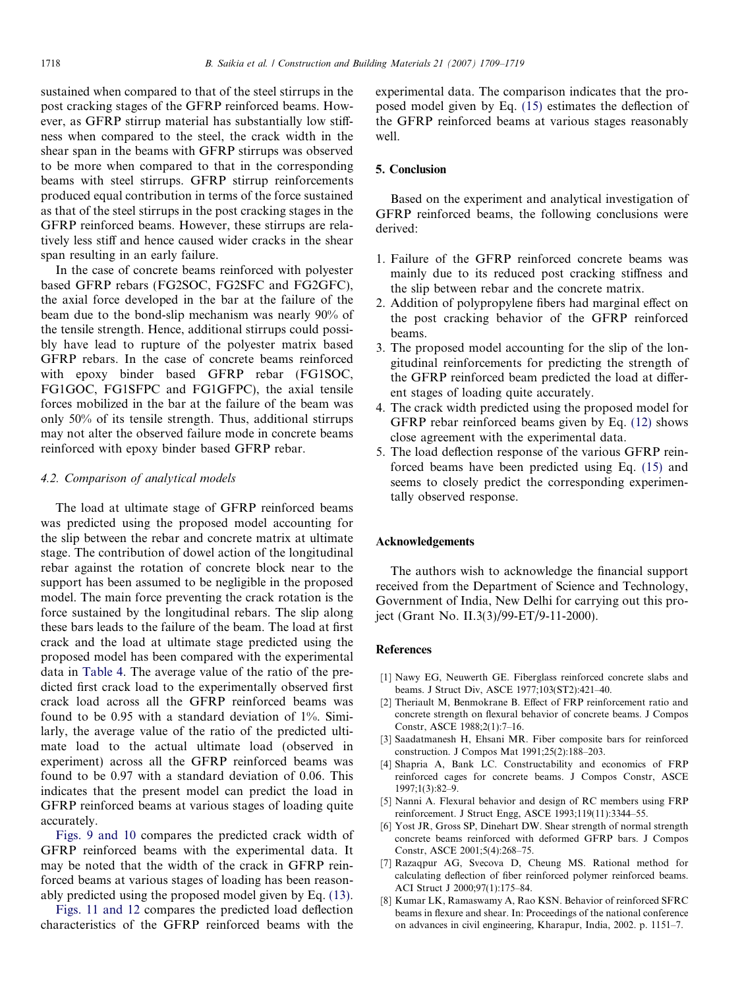<span id="page-9-0"></span>sustained when compared to that of the steel stirrups in the post cracking stages of the GFRP reinforced beams. However, as GFRP stirrup material has substantially low stiffness when compared to the steel, the crack width in the shear span in the beams with GFRP stirrups was observed to be more when compared to that in the corresponding beams with steel stirrups. GFRP stirrup reinforcements produced equal contribution in terms of the force sustained as that of the steel stirrups in the post cracking stages in the GFRP reinforced beams. However, these stirrups are relatively less stiff and hence caused wider cracks in the shear span resulting in an early failure.

In the case of concrete beams reinforced with polyester based GFRP rebars (FG2SOC, FG2SFC and FG2GFC), the axial force developed in the bar at the failure of the beam due to the bond-slip mechanism was nearly 90% of the tensile strength. Hence, additional stirrups could possibly have lead to rupture of the polyester matrix based GFRP rebars. In the case of concrete beams reinforced with epoxy binder based GFRP rebar (FG1SOC, FG1GOC, FG1SFPC and FG1GFPC), the axial tensile forces mobilized in the bar at the failure of the beam was only 50% of its tensile strength. Thus, additional stirrups may not alter the observed failure mode in concrete beams reinforced with epoxy binder based GFRP rebar.

#### 4.2. Comparison of analytical models

The load at ultimate stage of GFRP reinforced beams was predicted using the proposed model accounting for the slip between the rebar and concrete matrix at ultimate stage. The contribution of dowel action of the longitudinal rebar against the rotation of concrete block near to the support has been assumed to be negligible in the proposed model. The main force preventing the crack rotation is the force sustained by the longitudinal rebars. The slip along these bars leads to the failure of the beam. The load at first crack and the load at ultimate stage predicted using the proposed model has been compared with the experimental data in [Table 4.](#page-8-0) The average value of the ratio of the predicted first crack load to the experimentally observed first crack load across all the GFRP reinforced beams was found to be 0.95 with a standard deviation of 1%. Similarly, the average value of the ratio of the predicted ultimate load to the actual ultimate load (observed in experiment) across all the GFRP reinforced beams was found to be 0.97 with a standard deviation of 0.06. This indicates that the present model can predict the load in GFRP reinforced beams at various stages of loading quite accurately.

[Figs. 9 and 10](#page-8-0) compares the predicted crack width of GFRP reinforced beams with the experimental data. It may be noted that the width of the crack in GFRP reinforced beams at various stages of loading has been reasonably predicted using the proposed model given by Eq. [\(13\)](#page-6-0).

[Figs. 11 and 12](#page-8-0) compares the predicted load deflection characteristics of the GFRP reinforced beams with the

experimental data. The comparison indicates that the proposed model given by Eq. [\(15\)](#page-6-0) estimates the deflection of the GFRP reinforced beams at various stages reasonably well.

# 5. Conclusion

Based on the experiment and analytical investigation of GFRP reinforced beams, the following conclusions were derived:

- 1. Failure of the GFRP reinforced concrete beams was mainly due to its reduced post cracking stiffness and the slip between rebar and the concrete matrix.
- 2. Addition of polypropylene fibers had marginal effect on the post cracking behavior of the GFRP reinforced beams.
- 3. The proposed model accounting for the slip of the longitudinal reinforcements for predicting the strength of the GFRP reinforced beam predicted the load at different stages of loading quite accurately.
- 4. The crack width predicted using the proposed model for GFRP rebar reinforced beams given by Eq. (12) shows close agreement with the experimental data.
- 5. The load deflection response of the various GFRP reinforced beams have been predicted using Eq. [\(15\)](#page-6-0) and seems to closely predict the corresponding experimentally observed response.

#### Acknowledgements

The authors wish to acknowledge the financial support received from the Department of Science and Technology, Government of India, New Delhi for carrying out this project (Grant No. II.3(3)/99-ET/9-11-2000).

# References

- [1] Nawy EG, Neuwerth GE. Fiberglass reinforced concrete slabs and beams. J Struct Div, ASCE 1977;103(ST2):421–40.
- [2] Theriault M, Benmokrane B. Effect of FRP reinforcement ratio and concrete strength on flexural behavior of concrete beams. J Compos Constr, ASCE 1988;2(1):7–16.
- [3] Saadatmanesh H, Ehsani MR. Fiber composite bars for reinforced construction. J Compos Mat 1991;25(2):188–203.
- [4] Shapria A, Bank LC. Constructability and economics of FRP reinforced cages for concrete beams. J Compos Constr, ASCE 1997;1(3):82–9.
- [5] Nanni A. Flexural behavior and design of RC members using FRP reinforcement. J Struct Engg, ASCE 1993;119(11):3344–55.
- [6] Yost JR, Gross SP, Dinehart DW. Shear strength of normal strength concrete beams reinforced with deformed GFRP bars. J Compos Constr, ASCE 2001;5(4):268–75.
- [7] Razaqpur AG, Svecova D, Cheung MS. Rational method for calculating deflection of fiber reinforced polymer reinforced beams. ACI Struct J 2000;97(1):175–84.
- [8] Kumar LK, Ramaswamy A, Rao KSN. Behavior of reinforced SFRC beams in flexure and shear. In: Proceedings of the national conference on advances in civil engineering, Kharapur, India, 2002. p. 1151–7.